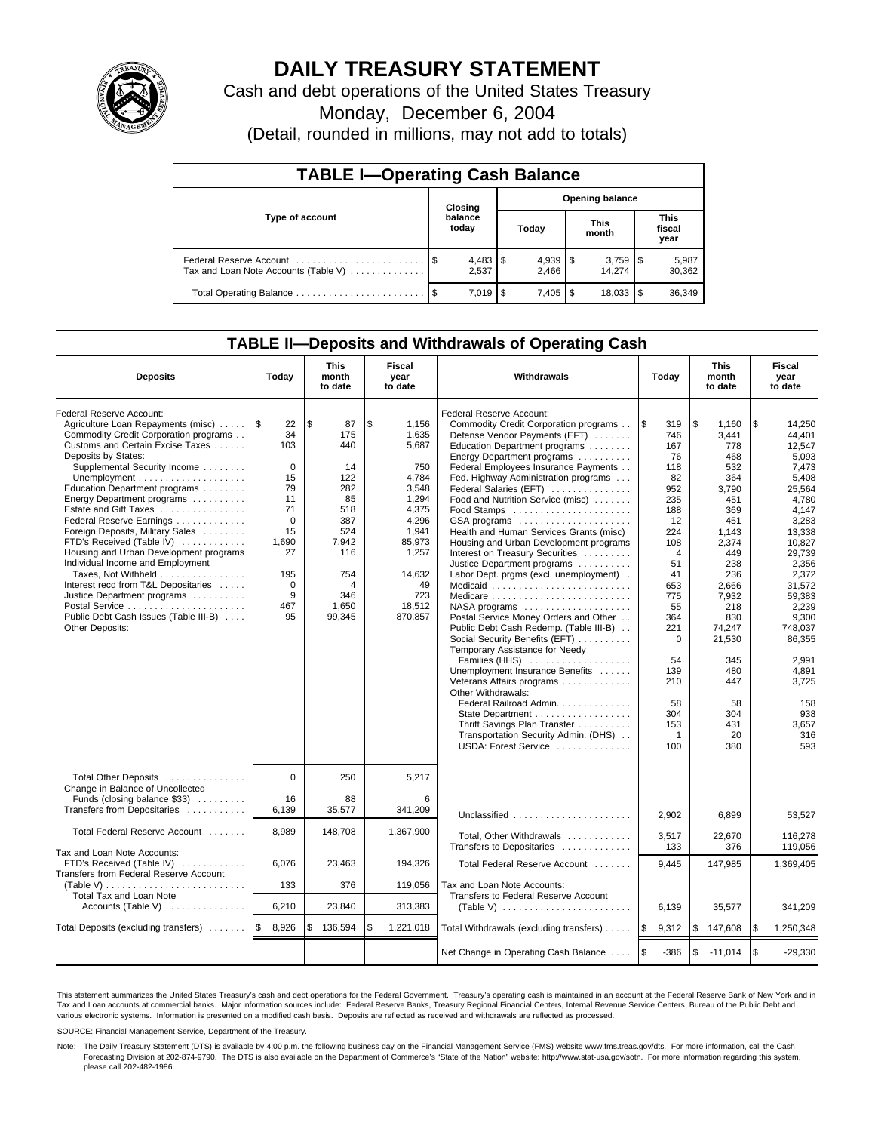

# **DAILY TREASURY STATEMENT**

Cash and debt operations of the United States Treasury

Monday, December 6, 2004

(Detail, rounded in millions, may not add to totals)

| <b>TABLE I-Operating Cash Balance</b>                           |  |                                   |       |           |                      |        |                               |                 |  |  |
|-----------------------------------------------------------------|--|-----------------------------------|-------|-----------|----------------------|--------|-------------------------------|-----------------|--|--|
| Type of account                                                 |  | <b>Opening balance</b><br>Closing |       |           |                      |        |                               |                 |  |  |
|                                                                 |  | balance<br>today                  | Today |           | <b>This</b><br>month |        | <b>This</b><br>fiscal<br>year |                 |  |  |
| Federal Reserve Account<br>Tax and Loan Note Accounts (Table V) |  | 2.537                             |       | 2.466     |                      | 14.274 |                               | 5,987<br>30,362 |  |  |
| Total Operating Balance                                         |  | 7.019 L                           | l \$  | $7.405$ S |                      | 18.033 |                               | 36,349          |  |  |

## **TABLE II—Deposits and Withdrawals of Operating Cash**

| <b>Deposits</b>                                                                                                                                                                                                                                                                                                                                                                                                                                                                                                                                                                                                                                         | Today                                                                                                                                   | <b>This</b><br>month<br>to date                                                                                             | <b>Fiscal</b><br>year<br>to date                                                                                                                          | Withdrawals                                                                                                                                                                                                                                                                                                                                                                                                                                                                                                                                                                                                                                                                                                                                                                                                                                                                                                                                                                                                                      | Today                                                                                                                                                                                                                             |                                                                                                                                                                                                                                 | Fiscal<br>year<br>to date                                                                                                                                                                                                                                                   |
|---------------------------------------------------------------------------------------------------------------------------------------------------------------------------------------------------------------------------------------------------------------------------------------------------------------------------------------------------------------------------------------------------------------------------------------------------------------------------------------------------------------------------------------------------------------------------------------------------------------------------------------------------------|-----------------------------------------------------------------------------------------------------------------------------------------|-----------------------------------------------------------------------------------------------------------------------------|-----------------------------------------------------------------------------------------------------------------------------------------------------------|----------------------------------------------------------------------------------------------------------------------------------------------------------------------------------------------------------------------------------------------------------------------------------------------------------------------------------------------------------------------------------------------------------------------------------------------------------------------------------------------------------------------------------------------------------------------------------------------------------------------------------------------------------------------------------------------------------------------------------------------------------------------------------------------------------------------------------------------------------------------------------------------------------------------------------------------------------------------------------------------------------------------------------|-----------------------------------------------------------------------------------------------------------------------------------------------------------------------------------------------------------------------------------|---------------------------------------------------------------------------------------------------------------------------------------------------------------------------------------------------------------------------------|-----------------------------------------------------------------------------------------------------------------------------------------------------------------------------------------------------------------------------------------------------------------------------|
| Federal Reserve Account:<br>Agriculture Loan Repayments (misc)<br>Commodity Credit Corporation programs<br>Customs and Certain Excise Taxes<br>Deposits by States:<br>Supplemental Security Income<br>Education Department programs<br>Energy Department programs<br>Estate and Gift Taxes<br>Federal Reserve Earnings<br>Foreign Deposits, Military Sales<br>FTD's Received (Table IV)<br>Housing and Urban Development programs<br>Individual Income and Employment<br>Taxes, Not Withheld<br>Interest recd from T&L Depositaries<br>Justice Department programs<br>Postal Service<br>Public Debt Cash Issues (Table III-B)<br><b>Other Deposits:</b> | l \$<br>22<br>34<br>103<br>$\mathbf 0$<br>15<br>79<br>11<br>71<br>$\Omega$<br>15<br>1,690<br>27<br>195<br>$\mathbf 0$<br>9<br>467<br>95 | \$<br>87<br>175<br>440<br>14<br>122<br>282<br>85<br>518<br>387<br>524<br>7,942<br>116<br>754<br>4<br>346<br>1,650<br>99,345 | \$<br>1,156<br>1,635<br>5,687<br>750<br>4,784<br>3,548<br>1,294<br>4.375<br>4,296<br>1,941<br>85,973<br>1,257<br>14,632<br>49<br>723<br>18,512<br>870,857 | Federal Reserve Account:<br>Commodity Credit Corporation programs<br>Defense Vendor Payments (EFT)<br>Education Department programs<br>Energy Department programs<br>Federal Employees Insurance Payments<br>Fed. Highway Administration programs<br>Federal Salaries (EFT)<br>Food and Nutrition Service (misc)<br>GSA programs<br>Health and Human Services Grants (misc)<br>Housing and Urban Development programs<br>Interest on Treasury Securities<br>Justice Department programs<br>Labor Dept. prgms (excl. unemployment).<br>Medicaid<br>Medicare<br>$NASA$ programs $\ldots \ldots \ldots \ldots \ldots$<br>Postal Service Money Orders and Other<br>Public Debt Cash Redemp. (Table III-B)<br>Social Security Benefits (EFT)<br>Temporary Assistance for Needy<br>Families (HHS)<br>Unemployment Insurance Benefits<br>Veterans Affairs programs<br>Other Withdrawals:<br>Federal Railroad Admin.<br>State Department<br>Thrift Savings Plan Transfer<br>Transportation Security Admin. (DHS)<br>USDA: Forest Service | \$<br>319<br>746<br>167<br>76<br>118<br>82<br>952<br>235<br>188<br>12<br>224<br>108<br>$\overline{4}$<br>51<br>41<br>653<br>775<br>55<br>364<br>221<br>$\mathbf 0$<br>54<br>139<br>210<br>58<br>304<br>153<br>$\mathbf{1}$<br>100 | \$<br>1,160<br>3.441<br>778<br>468<br>532<br>364<br>3,790<br>451<br>369<br>451<br>1,143<br>2,374<br>449<br>238<br>236<br>2.666<br>7,932<br>218<br>830<br>74,247<br>21,530<br>345<br>480<br>447<br>58<br>304<br>431<br>20<br>380 | \$<br>14,250<br>44.401<br>12.547<br>5.093<br>7.473<br>5,408<br>25,564<br>4,780<br>4.147<br>3,283<br>13,338<br>10.827<br>29,739<br>2,356<br>2,372<br>31.572<br>59,383<br>2,239<br>9.300<br>748,037<br>86,355<br>2.991<br>4,891<br>3,725<br>158<br>938<br>3,657<br>316<br>593 |
| Total Other Deposits<br>Change in Balance of Uncollected<br>Funds (closing balance \$33)<br>Transfers from Depositaries                                                                                                                                                                                                                                                                                                                                                                                                                                                                                                                                 | $\Omega$<br>16<br>6.139                                                                                                                 | 250<br>88<br>35,577                                                                                                         | 5,217<br>6<br>341,209                                                                                                                                     | Unclassified                                                                                                                                                                                                                                                                                                                                                                                                                                                                                                                                                                                                                                                                                                                                                                                                                                                                                                                                                                                                                     |                                                                                                                                                                                                                                   |                                                                                                                                                                                                                                 |                                                                                                                                                                                                                                                                             |
| Total Federal Reserve Account                                                                                                                                                                                                                                                                                                                                                                                                                                                                                                                                                                                                                           | 8,989                                                                                                                                   | 148,708                                                                                                                     | 1,367,900                                                                                                                                                 | Total, Other Withdrawals<br>Transfers to Depositaries                                                                                                                                                                                                                                                                                                                                                                                                                                                                                                                                                                                                                                                                                                                                                                                                                                                                                                                                                                            | 2,902<br>3,517<br>133                                                                                                                                                                                                             | 6,899<br>22,670<br>376                                                                                                                                                                                                          | 53,527<br>116,278<br>119.056                                                                                                                                                                                                                                                |
| Tax and Loan Note Accounts:<br>FTD's Received (Table IV)<br>Transfers from Federal Reserve Account<br>(Table V)                                                                                                                                                                                                                                                                                                                                                                                                                                                                                                                                         | 6,076<br>133                                                                                                                            | 23,463<br>376                                                                                                               | 194,326<br>119,056                                                                                                                                        | Total Federal Reserve Account<br>Tax and Loan Note Accounts:                                                                                                                                                                                                                                                                                                                                                                                                                                                                                                                                                                                                                                                                                                                                                                                                                                                                                                                                                                     | 9,445                                                                                                                                                                                                                             | 147,985                                                                                                                                                                                                                         | 1,369,405                                                                                                                                                                                                                                                                   |
| <b>Total Tax and Loan Note</b><br>Accounts (Table V)                                                                                                                                                                                                                                                                                                                                                                                                                                                                                                                                                                                                    | 6,210                                                                                                                                   | 23,840                                                                                                                      | 313,383                                                                                                                                                   | Transfers to Federal Reserve Account<br>(Table V) $\ldots \ldots \ldots \ldots \ldots \ldots \ldots$                                                                                                                                                                                                                                                                                                                                                                                                                                                                                                                                                                                                                                                                                                                                                                                                                                                                                                                             | 6,139                                                                                                                                                                                                                             | 35,577                                                                                                                                                                                                                          | 341,209                                                                                                                                                                                                                                                                     |
| Total Deposits (excluding transfers)                                                                                                                                                                                                                                                                                                                                                                                                                                                                                                                                                                                                                    | 8,926<br>l \$                                                                                                                           | \$<br>136,594                                                                                                               | \$<br>1,221,018                                                                                                                                           | Total Withdrawals (excluding transfers)                                                                                                                                                                                                                                                                                                                                                                                                                                                                                                                                                                                                                                                                                                                                                                                                                                                                                                                                                                                          | 1\$<br>9,312                                                                                                                                                                                                                      | \$<br>147,608                                                                                                                                                                                                                   | <b>S</b><br>1,250,348                                                                                                                                                                                                                                                       |
|                                                                                                                                                                                                                                                                                                                                                                                                                                                                                                                                                                                                                                                         |                                                                                                                                         |                                                                                                                             |                                                                                                                                                           | Net Change in Operating Cash Balance                                                                                                                                                                                                                                                                                                                                                                                                                                                                                                                                                                                                                                                                                                                                                                                                                                                                                                                                                                                             | l \$<br>$-386$                                                                                                                                                                                                                    | \$<br>$-11,014$                                                                                                                                                                                                                 | $\sqrt{3}$<br>$-29,330$                                                                                                                                                                                                                                                     |

This statement summarizes the United States Treasury's cash and debt operations for the Federal Government. Treasury's operating cash is maintained in an account at the Federal Reserve Bank of New York and in Tax and Loan accounts at commercial banks. Major information sources include: Federal Reserve Banks, Treasury Regional Financial Centers, Internal Revenue Service Centers, Bureau of the Public Debt and<br>various electronic s

SOURCE: Financial Management Service, Department of the Treasury.

Note: The Daily Treasury Statement (DTS) is available by 4:00 p.m. the following business day on the Financial Management Service (FMS) website www.fms.treas.gov/dts. For more information, call the Cash Forecasting Division at 202-874-9790. The DTS is also available on the Department of Commerce's "State of the Nation" website: http://www.stat-usa.gov/sotn. For more information regarding this system, please call 202-482-1986.